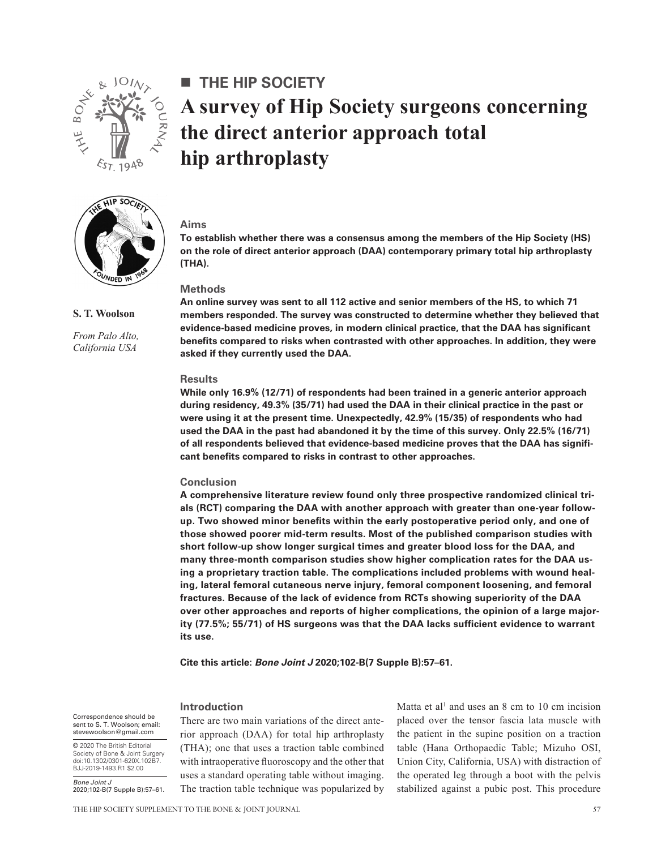

HIP SOCIET

**S. T. Woolson**

*From Palo Alto, California USA*

# **The Hip Society A survey of Hip Society surgeons concerning the direct anterior approach total hip arthroplasty**

### **Aims**

**To establish whether there was a consensus among the members of the Hip Society (HS) on the role of direct anterior approach (DAA) contemporary primary total hip arthroplasty (THA).**

# **Methods**

**An online survey was sent to all 112 active and senior members of the HS, to which 71 members responded. The survey was constructed to determine whether they believed that evidence-based medicine proves, in modern clinical practice, that the DAA has significant benefits compared to risks when contrasted with other approaches. In addition, they were asked if they currently used the DAA.**

#### **Results**

**While only 16.9% (12/71) of respondents had been trained in a generic anterior approach during residency, 49.3% (35/71) had used the DAA in their clinical practice in the past or were using it at the present time. Unexpectedly, 42.9% (15/35) of respondents who had used the DAA in the past had abandoned it by the time of this survey. Only 22.5% (16/71) of all respondents believed that evidence-based medicine proves that the DAA has significant benefits compared to risks in contrast to other approaches.**

### **Conclusion**

**A comprehensive literature review found only three prospective randomized clinical trials (RCT) comparing the DAA with another approach with greater than one-year followup. Two showed minor benefits within the early postoperative period only, and one of those showed poorer mid-term results. Most of the published comparison studies with short follow-up show longer surgical times and greater blood loss for the DAA, and many three-month comparison studies show higher complication rates for the DAA using a proprietary traction table. The complications included problems with wound healing, lateral femoral cutaneous nerve injury, femoral component loosening, and femoral fractures. Because of the lack of evidence from RCTs showing superiority of the DAA over other approaches and reports of higher complications, the opinion of a large majority (77.5%; 55/71) of HS surgeons was that the DAA lacks sufficient evidence to warrant its use.**

**Cite this article:** *Bone Joint J* **2020;102-B(7 Supple B):57–61.**

### **Introduction**

Correspondence should be sent to S. T. Woolson; email: stevewoolson@gmail.com

© 2020 The British Editorial Society of Bone & Joint Surgery doi:10.1302/0301-620X.102B7. BJJ-2019-1493.R1 \$2.00

*Bone Joint J*

There are two main variations of the direct anterior approach (DAA) for total hip arthroplasty (THA); one that uses a traction table combined with intraoperative fluoroscopy and the other that uses a standard operating table without imaging. The traction table technique was popularized by

Matta et al<sup>1</sup> and uses an  $8 \text{ cm}$  to  $10 \text{ cm}$  incision placed over the tensor fascia lata muscle with the patient in the supine position on a traction table (Hana Orthopaedic Table; Mizuho OSI, Union City, California, USA) with distraction of the operated leg through a boot with the pelvis stabilized against a pubic post. This procedure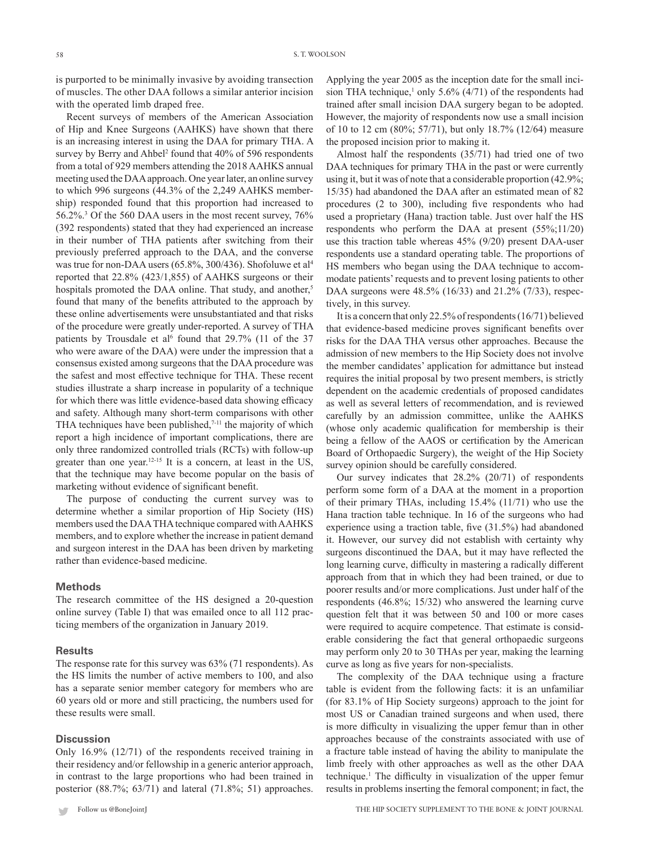is purported to be minimally invasive by avoiding transection of muscles. The other DAA follows a similar anterior incision with the operated limb draped free.

Recent surveys of members of the American Association of Hip and Knee Surgeons (AAHKS) have shown that there is an increasing interest in using the DAA for primary THA. A survey by Berry and Ahbel<sup>2</sup> found that 40% of 596 respondents from a total of 929 members attending the 2018 AAHKS annual meeting used the DAA approach. One year later, an online survey to which 996 surgeons (44.3% of the 2,249 AAHKS membership) responded found that this proportion had increased to 56.2%.3 Of the 560 DAA users in the most recent survey, 76% (392 respondents) stated that they had experienced an increase in their number of THA patients after switching from their previously preferred approach to the DAA, and the converse was true for non-DAA users (65.8%, 300/436). Shofoluwe et al<sup>4</sup> reported that 22.8% (423/1,855) of AAHKS surgeons or their hospitals promoted the DAA online. That study, and another,<sup>5</sup> found that many of the benefits attributed to the approach by these online advertisements were unsubstantiated and that risks of the procedure were greatly under-reported. A survey of THA patients by Trousdale et al<sup>6</sup> found that  $29.7\%$  (11 of the 37 who were aware of the DAA) were under the impression that a consensus existed among surgeons that the DAA procedure was the safest and most effective technique for THA. These recent studies illustrate a sharp increase in popularity of a technique for which there was little evidence-based data showing efficacy and safety. Although many short-term comparisons with other THA techniques have been published,<sup>7-11</sup> the majority of which report a high incidence of important complications, there are only three randomized controlled trials (RCTs) with follow-up greater than one year.<sup>12-15</sup> It is a concern, at least in the US, that the technique may have become popular on the basis of marketing without evidence of significant benefit.

The purpose of conducting the current survey was to determine whether a similar proportion of Hip Society (HS) members used the DAA THA technique compared with AAHKS members, and to explore whether the increase in patient demand and surgeon interest in the DAA has been driven by marketing rather than evidence-based medicine.

### **Methods**

The research committee of the HS designed a 20-question online survey (Table I) that was emailed once to all 112 practicing members of the organization in January 2019.

## **Results**

The response rate for this survey was 63% (71 respondents). As the HS limits the number of active members to 100, and also has a separate senior member category for members who are 60 years old or more and still practicing, the numbers used for these results were small.

# **Discussion**

Only 16.9% (12/71) of the respondents received training in their residency and/or fellowship in a generic anterior approach, in contrast to the large proportions who had been trained in posterior (88.7%; 63/71) and lateral (71.8%; 51) approaches.

Applying the year 2005 as the inception date for the small incision THA technique,<sup>1</sup> only 5.6% (4/71) of the respondents had trained after small incision DAA surgery began to be adopted. However, the majority of respondents now use a small incision of 10 to 12 cm (80%; 57/71), but only 18.7% (12/64) measure the proposed incision prior to making it.

Almost half the respondents (35/71) had tried one of two DAA techniques for primary THA in the past or were currently using it, but it was of note that a considerable proportion (42.9%; 15/35) had abandoned the DAA after an estimated mean of 82 procedures (2 to 300), including five respondents who had used a proprietary (Hana) traction table. Just over half the HS respondents who perform the DAA at present (55%;11/20) use this traction table whereas 45% (9/20) present DAA-user respondents use a standard operating table. The proportions of HS members who began using the DAA technique to accommodate patients' requests and to prevent losing patients to other DAA surgeons were 48.5% (16/33) and 21.2% (7/33), respectively, in this survey.

It is a concern that only 22.5% of respondents (16/71) believed that evidence-based medicine proves significant benefits over risks for the DAA THA versus other approaches. Because the admission of new members to the Hip Society does not involve the member candidates' application for admittance but instead requires the initial proposal by two present members, is strictly dependent on the academic credentials of proposed candidates as well as several letters of recommendation, and is reviewed carefully by an admission committee, unlike the AAHKS (whose only academic qualification for membership is their being a fellow of the AAOS or certification by the American Board of Orthopaedic Surgery), the weight of the Hip Society survey opinion should be carefully considered.

Our survey indicates that 28.2% (20/71) of respondents perform some form of a DAA at the moment in a proportion of their primary THAs, including 15.4% (11/71) who use the Hana traction table technique. In 16 of the surgeons who had experience using a traction table, five (31.5%) had abandoned it. However, our survey did not establish with certainty why surgeons discontinued the DAA, but it may have reflected the long learning curve, difficulty in mastering a radically different approach from that in which they had been trained, or due to poorer results and/or more complications. Just under half of the respondents (46.8%; 15/32) who answered the learning curve question felt that it was between 50 and 100 or more cases were required to acquire competence. That estimate is considerable considering the fact that general orthopaedic surgeons may perform only 20 to 30 THAs per year, making the learning curve as long as five years for non-specialists.

The complexity of the DAA technique using a fracture table is evident from the following facts: it is an unfamiliar (for 83.1% of Hip Society surgeons) approach to the joint for most US or Canadian trained surgeons and when used, there is more difficulty in visualizing the upper femur than in other approaches because of the constraints associated with use of a fracture table instead of having the ability to manipulate the limb freely with other approaches as well as the other DAA technique.1 The difficulty in visualization of the upper femur results in problems inserting the femoral component; in fact, the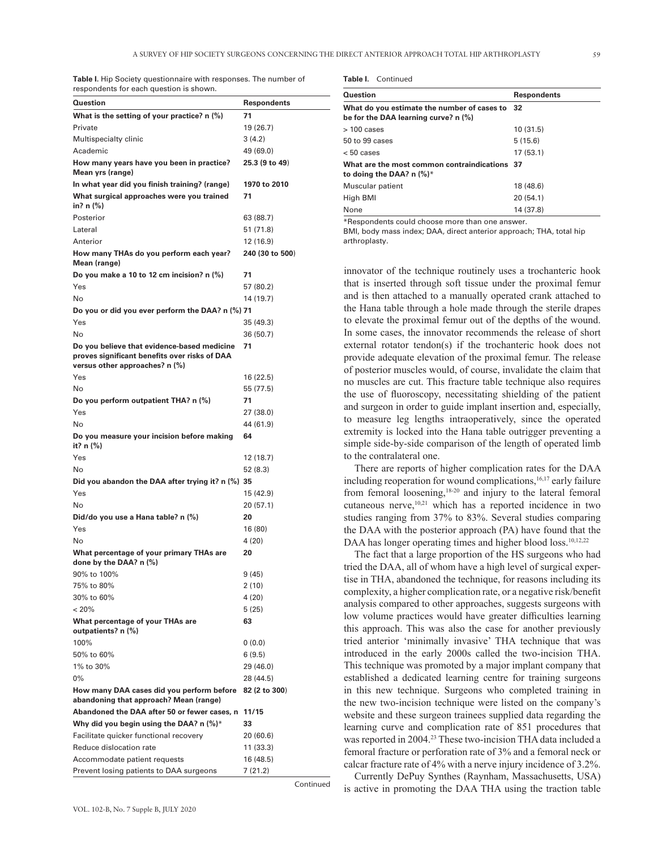**Table I.** Hip Society questionnaire with responses. The number of respondents for each question is shown.

| Question                                                                                                                       | Respondents     |
|--------------------------------------------------------------------------------------------------------------------------------|-----------------|
| What is the setting of your practice? n (%)                                                                                    | 71              |
| Private                                                                                                                        | 19 (26.7)       |
| Multispecialty clinic                                                                                                          | 3 (4.2)         |
| Academic                                                                                                                       | 49 (69.0)       |
| How many years have you been in practice?<br>Mean yrs (range)                                                                  | 25.3 (9 to 49)  |
| In what year did you finish training? (range)                                                                                  | 1970 to 2010    |
| What surgical approaches were you trained<br>in? n (%)                                                                         | 71              |
| Posterior                                                                                                                      | 63 (88.7)       |
| Lateral                                                                                                                        | 51 (71.8)       |
| Anterior                                                                                                                       | 12 (16.9)       |
| How many THAs do you perform each year?<br>Mean (range)                                                                        | 240 (30 to 500) |
| Do you make a 10 to 12 cm incision? $n$ (%)                                                                                    | 71              |
| Yes                                                                                                                            | 57 (80.2)       |
| No                                                                                                                             | 14 (19.7)       |
| Do you or did you ever perform the DAA? n (%) 71                                                                               |                 |
| Yes                                                                                                                            | 35 (49.3)       |
| No                                                                                                                             | 36 (50.7)       |
| Do you believe that evidence-based medicine<br>proves significant benefits over risks of DAA<br>versus other approaches? n (%) | 71              |
| Yes                                                                                                                            | 16 (22.5)       |
| No                                                                                                                             | 55 (77.5)       |
| Do you perform outpatient THA? n (%)                                                                                           | 71              |
| Yes                                                                                                                            | 27 (38.0)       |
| No                                                                                                                             | 44 (61.9)       |
| Do you measure your incision before making<br>it? n (%)                                                                        | 64              |
| Yes                                                                                                                            | 12 (18.7)       |
| No                                                                                                                             | 52 (8.3)        |
| Did you abandon the DAA after trying it? n (%) 35                                                                              |                 |
| Yes                                                                                                                            | 15 (42.9)       |
| No                                                                                                                             | 20 (57.1)       |
| Did/do you use a Hana table? n (%)                                                                                             | 20              |
| Yes                                                                                                                            | 16 (80)         |
| No                                                                                                                             | 4(20)           |
| What percentage of your primary THAs are<br>done by the DAA? $n$ (%)                                                           | 20              |
| 90% to 100%                                                                                                                    | 9 (45)          |
| 75% to 80%                                                                                                                     | 2 (10)          |
| 30% to 60%                                                                                                                     | 4(20)           |
| < 20%                                                                                                                          | 5 (25)          |
| What percentage of your THAs are<br>outpatients? n (%)                                                                         | 63              |
| 100%                                                                                                                           | 0 (0.0)         |
| 50% to 60%                                                                                                                     | 6(9.5)          |
| 1% to 30%                                                                                                                      | 29 (46.0)       |
| $0\%$                                                                                                                          | 28 (44.5)       |
| How many DAA cases did you perform before<br>abandoning that approach? Mean (range)                                            | 82 (2 to 300)   |
| Abandoned the DAA after 50 or fewer cases, n                                                                                   | 11/15           |
| Why did you begin using the DAA? n $(\%)^*$                                                                                    | 33              |
| Facilitate quicker functional recovery                                                                                         | 20 (60.6)       |
| Reduce dislocation rate                                                                                                        | 11 (33.3)       |
| Accommodate patient requests                                                                                                   | 16 (48.5)       |
| Prevent losing patients to DAA surgeons                                                                                        | 7 (21.2)        |

Continued

**Table I.** Continued

| Question                                                                               | <b>Respondents</b> |
|----------------------------------------------------------------------------------------|--------------------|
| What do you estimate the number of cases to 32<br>be for the DAA learning curve? n (%) |                    |
| > 100 cases                                                                            | 10(31.5)           |
| 50 to 99 cases                                                                         | 5(15.6)            |
| < 50 cases                                                                             | 17(53.1)           |
| What are the most common contraindications 37<br>to doing the DAA? n (%)*              |                    |
| Muscular patient                                                                       | 18 (48.6)          |
| High BMI                                                                               | 20(54.1)           |
| None                                                                                   | 14 (37.8)          |

\*Respondents could choose more than one answer.

BMI, body mass index; DAA, direct anterior approach; THA, total hip arthroplasty.

innovator of the technique routinely uses a trochanteric hook that is inserted through soft tissue under the proximal femur and is then attached to a manually operated crank attached to the Hana table through a hole made through the sterile drapes to elevate the proximal femur out of the depths of the wound. In some cases, the innovator recommends the release of short external rotator tendon(s) if the trochanteric hook does not provide adequate elevation of the proximal femur. The release of posterior muscles would, of course, invalidate the claim that no muscles are cut. This fracture table technique also requires the use of fluoroscopy, necessitating shielding of the patient and surgeon in order to guide implant insertion and, especially, to measure leg lengths intraoperatively, since the operated extremity is locked into the Hana table outrigger preventing a simple side-by-side comparison of the length of operated limb to the contralateral one.

There are reports of higher complication rates for the DAA including reoperation for wound complications,<sup>16,17</sup> early failure from femoral loosening,18-20 and injury to the lateral femoral cutaneous nerve,<sup>10,21</sup> which has a reported incidence in two studies ranging from 37% to 83%. Several studies comparing the DAA with the posterior approach (PA) have found that the DAA has longer operating times and higher blood loss.<sup>10,12,22</sup>

The fact that a large proportion of the HS surgeons who had tried the DAA, all of whom have a high level of surgical expertise in THA, abandoned the technique, for reasons including its complexity, a higher complication rate, or a negative risk/benefit analysis compared to other approaches, suggests surgeons with low volume practices would have greater difficulties learning this approach. This was also the case for another previously tried anterior 'minimally invasive' THA technique that was introduced in the early 2000s called the two-incision THA. This technique was promoted by a major implant company that established a dedicated learning centre for training surgeons in this new technique. Surgeons who completed training in the new two-incision technique were listed on the company's website and these surgeon trainees supplied data regarding the learning curve and complication rate of 851 procedures that was reported in 2004.<sup>23</sup> These two-incision THA data included a femoral fracture or perforation rate of 3% and a femoral neck or calcar fracture rate of 4% with a nerve injury incidence of 3.2%.

Currently DePuy Synthes (Raynham, Massachusetts, USA) is active in promoting the DAA THA using the traction table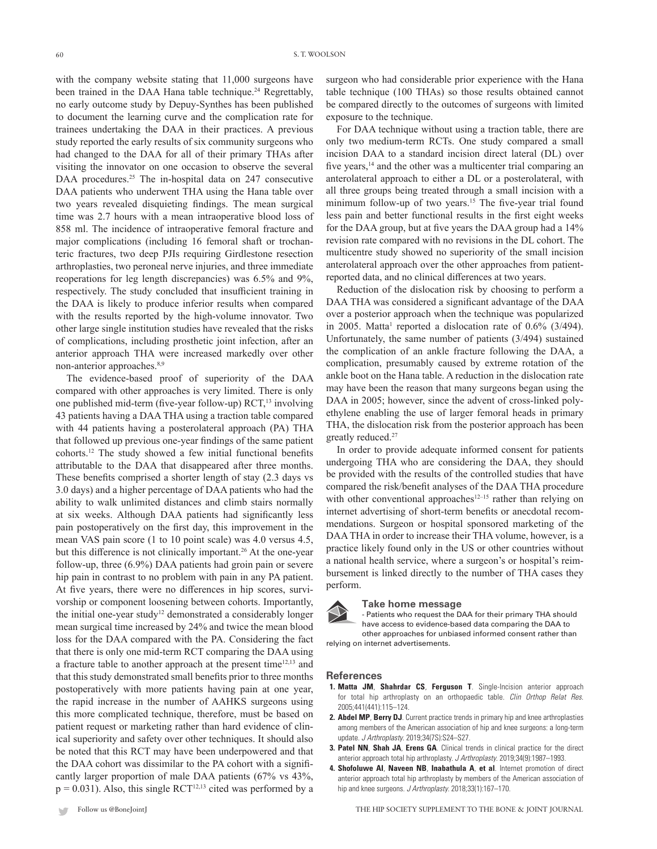with the company website stating that  $11,000$  surgeons have been trained in the DAA Hana table technique.<sup>24</sup> Regrettably, no early outcome study by Depuy-Synthes has been published to document the learning curve and the complication rate for trainees undertaking the DAA in their practices. A previous study reported the early results of six community surgeons who had changed to the DAA for all of their primary THAs after visiting the innovator on one occasion to observe the several DAA procedures.<sup>25</sup> The in-hospital data on 247 consecutive DAA patients who underwent THA using the Hana table over two years revealed disquieting findings. The mean surgical time was 2.7 hours with a mean intraoperative blood loss of 858 ml. The incidence of intraoperative femoral fracture and major complications (including 16 femoral shaft or trochanteric fractures, two deep PJIs requiring Girdlestone resection arthroplasties, two peroneal nerve injuries, and three immediate reoperations for leg length discrepancies) was 6.5% and 9%, respectively. The study concluded that insufficient training in the DAA is likely to produce inferior results when compared with the results reported by the high-volume innovator. Two other large single institution studies have revealed that the risks of complications, including prosthetic joint infection, after an anterior approach THA were increased markedly over other non-anterior approaches.<sup>8,9</sup>

The evidence-based proof of superiority of the DAA compared with other approaches is very limited. There is only one published mid-term (five-year follow-up) RCT,<sup>13</sup> involving 43 patients having a DAA THA using a traction table compared with 44 patients having a posterolateral approach (PA) THA that followed up previous one-year findings of the same patient cohorts.12 The study showed a few initial functional benefits attributable to the DAA that disappeared after three months. These benefits comprised a shorter length of stay (2.3 days vs 3.0 days) and a higher percentage of DAA patients who had the ability to walk unlimited distances and climb stairs normally at six weeks. Although DAA patients had significantly less pain postoperatively on the first day, this improvement in the mean VAS pain score (1 to 10 point scale) was 4.0 versus 4.5, but this difference is not clinically important.<sup>26</sup> At the one-year follow-up, three (6.9%) DAA patients had groin pain or severe hip pain in contrast to no problem with pain in any PA patient. At five years, there were no differences in hip scores, survivorship or component loosening between cohorts. Importantly, the initial one-year study<sup>12</sup> demonstrated a considerably longer mean surgical time increased by 24% and twice the mean blood loss for the DAA compared with the PA. Considering the fact that there is only one mid-term RCT comparing the DAA using a fracture table to another approach at the present time<sup>12,13</sup> and that this study demonstrated small benefits prior to three months postoperatively with more patients having pain at one year, the rapid increase in the number of AAHKS surgeons using this more complicated technique, therefore, must be based on patient request or marketing rather than hard evidence of clinical superiority and safety over other techniques. It should also be noted that this RCT may have been underpowered and that the DAA cohort was dissimilar to the PA cohort with a significantly larger proportion of male DAA patients (67% vs 43%,  $p = 0.031$ ). Also, this single RCT<sup>12,13</sup> cited was performed by a surgeon who had considerable prior experience with the Hana table technique (100 THAs) so those results obtained cannot be compared directly to the outcomes of surgeons with limited exposure to the technique.

For DAA technique without using a traction table, there are only two medium-term RCTs. One study compared a small incision DAA to a standard incision direct lateral (DL) over five years,<sup>14</sup> and the other was a multicenter trial comparing an anterolateral approach to either a DL or a posterolateral, with all three groups being treated through a small incision with a minimum follow-up of two years.<sup>15</sup> The five-year trial found less pain and better functional results in the first eight weeks for the DAA group, but at five years the DAA group had a 14% revision rate compared with no revisions in the DL cohort. The multicentre study showed no superiority of the small incision anterolateral approach over the other approaches from patientreported data, and no clinical differences at two years.

Reduction of the dislocation risk by choosing to perform a DAA THA was considered a significant advantage of the DAA over a posterior approach when the technique was popularized in 2005. Matta<sup>1</sup> reported a dislocation rate of  $0.6\%$  ( $3/494$ ). Unfortunately, the same number of patients (3/494) sustained the complication of an ankle fracture following the DAA, a complication, presumably caused by extreme rotation of the ankle boot on the Hana table. A reduction in the dislocation rate may have been the reason that many surgeons began using the DAA in 2005; however, since the advent of cross-linked polyethylene enabling the use of larger femoral heads in primary THA, the dislocation risk from the posterior approach has been greatly reduced.27

In order to provide adequate informed consent for patients undergoing THA who are considering the DAA, they should be provided with the results of the controlled studies that have compared the risk/benefit analyses of the DAA THA procedure with other conventional approaches<sup>12–15</sup> rather than relying on internet advertising of short-term benefits or anecdotal recommendations. Surgeon or hospital sponsored marketing of the DAA THA in order to increase their THA volume, however, is a practice likely found only in the US or other countries without a national health service, where a surgeon's or hospital's reimbursement is linked directly to the number of THA cases they perform.



#### **Take home message**

-- Patients who request the DAA for their primary THA should have access to evidence-based data comparing the DAA to other approaches for unbiased informed consent rather than relying on internet advertisements.

#### **References**

- **1. Matta JM**, **Shahrdar CS**, **Ferguson T**. Single-Incision anterior approach for total hip arthroplasty on an orthopaedic table. *Clin Orthop Relat Res*. 2005;441(441):115–124.
- **2. Abdel MP**, **Berry DJ**. Current practice trends in primary hip and knee arthroplasties among members of the American association of hip and knee surgeons: a long-term update. *J Arthroplasty*. 2019;34(7S):S24–S27.
- **3. Patel NN**, **Shah JA**, **Erens GA**. Clinical trends in clinical practice for the direct anterior approach total hip arthroplasty. *J Arthroplasty*. 2019;34(9):1987–1993.
- **4. Shofoluwe AI**, **Naveen NB**, **Inabathula A**, **et al**. Internet promotion of direct anterior approach total hip arthroplasty by members of the American association of hip and knee surgeons. *J Arthroplasty*. 2018;33(1):167–170.